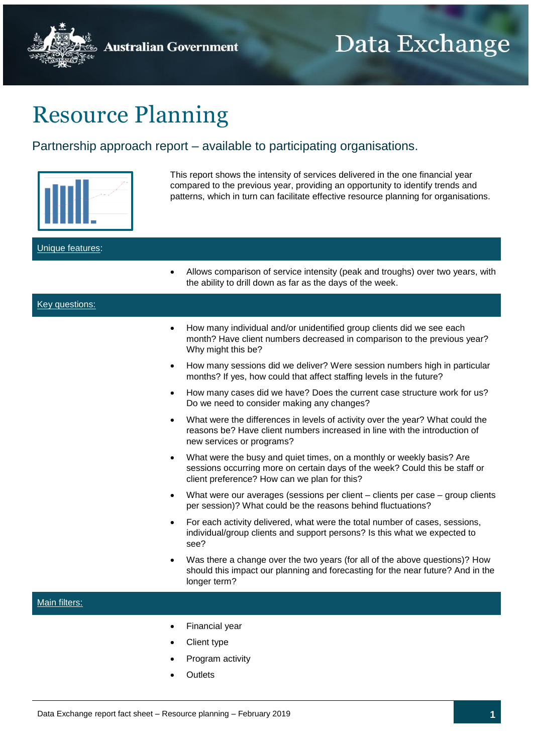**Australian Government** 

# Resource Planning

# Partnership approach report – available to participating organisations.



This report shows the intensity of services delivered in the one financial year compared to the previous year, providing an opportunity to identify trends and patterns, which in turn can facilitate effective resource planning for organisations.

#### Unique features:

 Allows comparison of service intensity (peak and troughs) over two years, with the ability to drill down as far as the days of the week.

## Key questions:

- How many individual and/or unidentified group clients did we see each month? Have client numbers decreased in comparison to the previous year? Why might this be?
- How many sessions did we deliver? Were session numbers high in particular months? If yes, how could that affect staffing levels in the future?
- How many cases did we have? Does the current case structure work for us? Do we need to consider making any changes?
- What were the differences in levels of activity over the year? What could the reasons be? Have client numbers increased in line with the introduction of new services or programs?
- What were the busy and quiet times, on a monthly or weekly basis? Are sessions occurring more on certain days of the week? Could this be staff or client preference? How can we plan for this?
- What were our averages (sessions per client clients per case group clients per session)? What could be the reasons behind fluctuations?
- For each activity delivered, what were the total number of cases, sessions, individual/group clients and support persons? Is this what we expected to see?
- Was there a change over the two years (for all of the above questions)? How should this impact our planning and forecasting for the near future? And in the longer term?

#### Main filters:

- Financial year
- Client type
- Program activity
- **Outlets**